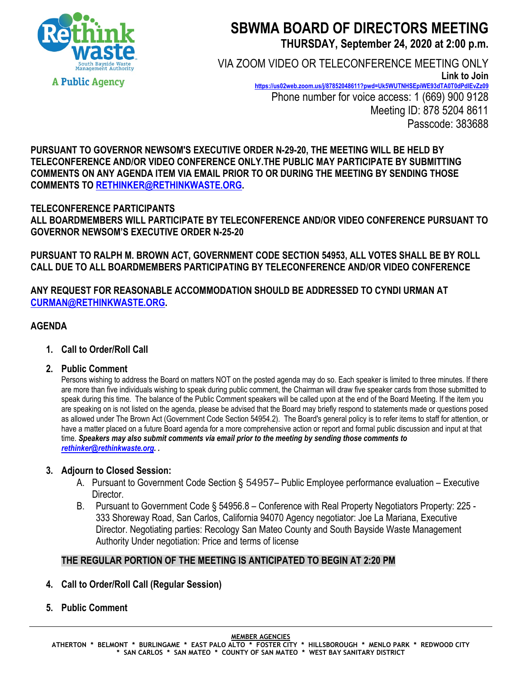

# **SBWMA BOARD OF DIRECTORS MEETING THURSDAY, September 24, 2020 at 2:00 p.m.**

VIA ZOOM VIDEO OR TELECONFERENCE MEETING ONLY **Link to Join <https://us02web.zoom.us/j/87852048611?pwd=Uk5WUTNHSEpiWE93dTA0T0dPdlEvZz09>** Phone number for voice access: 1 (669) 900 9128 Meeting ID: 878 5204 8611 Passcode: 383688

**PURSUANT TO GOVERNOR NEWSOM'S EXECUTIVE ORDER N-29-20, THE MEETING WILL BE HELD BY TELECONFERENCE AND/OR VIDEO CONFERENCE ONLY.THE PUBLIC MAY PARTICIPATE BY SUBMITTING COMMENTS ON ANY AGENDA ITEM VIA EMAIL PRIOR TO OR DURING THE MEETING BY SENDING THOSE COMMENTS TO [RETHINKER@RETHINKWASTE.ORG.](mailto:rethinker@rethinkwaste.org)** 

# **TELECONFERENCE PARTICIPANTS ALL BOARDMEMBERS WILL PARTICIPATE BY TELECONFERENCE AND/OR VIDEO CONFERENCE PURSUANT TO GOVERNOR NEWSOM'S EXECUTIVE ORDER N-25-20**

**PURSUANT TO RALPH M. BROWN ACT, GOVERNMENT CODE SECTION 54953, ALL VOTES SHALL BE BY ROLL CALL DUE TO ALL BOARDMEMBERS PARTICIPATING BY TELECONFERENCE AND/OR VIDEO CONFERENCE**

**ANY REQUEST FOR REASONABLE ACCOMMODATION SHOULD BE ADDRESSED TO CYNDI URMAN AT [CURMAN@RETHINKWASTE.ORG.](mailto:CURMAN@RETHINKWASTE.ORG)** 

# **AGENDA**

- **1. Call to Order/Roll Call**
- **2. Public Comment**

Persons wishing to address the Board on matters NOT on the posted agenda may do so. Each speaker is limited to three minutes. If there are more than five individuals wishing to speak during public comment, the Chairman will draw five speaker cards from those submitted to speak during this time. The balance of the Public Comment speakers will be called upon at the end of the Board Meeting. If the item you are speaking on is not listed on the agenda, please be advised that the Board may briefly respond to statements made or questions posed as allowed under The Brown Act (Government Code Section 54954.2). The Board's general policy is to refer items to staff for attention, or have a matter placed on a future Board agenda for a more comprehensive action or report and formal public discussion and input at that time. *Speakers may also submit comments via email prior to the meeting by sending those comments to [rethinker@rethinkwaste.org.](mailto:rethinker@rethinkwaste.org) .*

# **3. Adjourn to Closed Session:**

- A. Pursuant to Government Code Section § 54957– Public Employee performance evaluation Executive Director.
- B. Pursuant to Government Code § 54956.8 Conference with Real Property Negotiators Property: 225 333 Shoreway Road, San Carlos, California 94070 Agency negotiator: Joe La Mariana, Executive Director. Negotiating parties: Recology San Mateo County and South Bayside Waste Management Authority Under negotiation: Price and terms of license

# **THE REGULAR PORTION OF THE MEETING IS ANTICIPATED TO BEGIN AT 2:20 PM**

- **4. Call to Order/Roll Call (Regular Session)**
- **5. Public Comment**